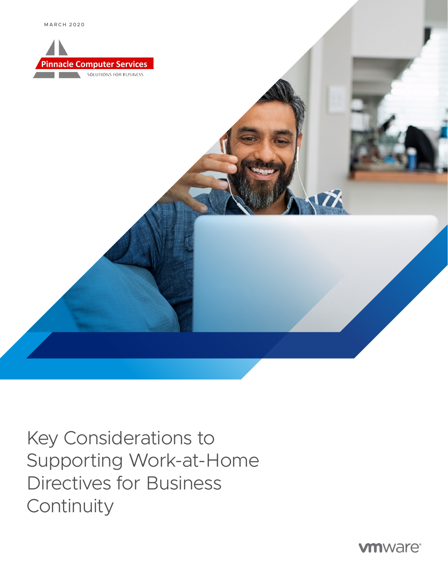





Directives for Business **Continuity**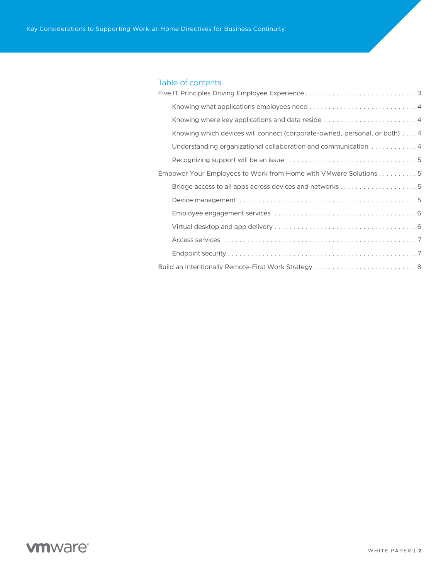## Table of contents

| Knowing where key applications and data reside 4                          |
|---------------------------------------------------------------------------|
| Knowing which devices will connect (corporate-owned, personal, or both) 4 |
| Understanding organizational collaboration and communication 4            |
|                                                                           |
| Empower Your Employees to Work from Home with VMware Solutions 5          |
|                                                                           |
|                                                                           |
|                                                                           |
|                                                                           |
|                                                                           |
|                                                                           |
| Build an Intentionally Remote-First Work Strategy8                        |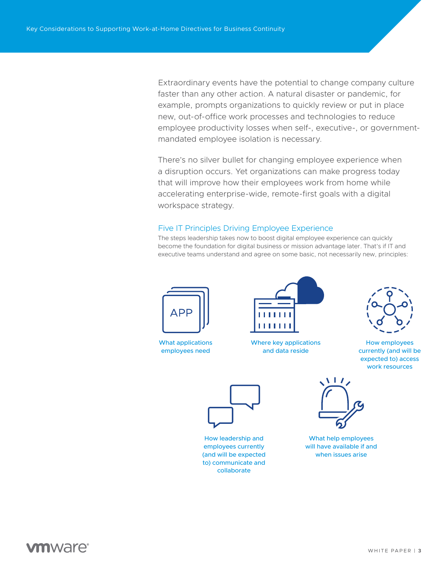Extraordinary events have the potential to change company culture faster than any other action. A natural disaster or pandemic, for example, prompts organizations to quickly review or put in place new, out-of-office work processes and technologies to reduce employee productivity losses when self-, executive-, or governmentmandated employee isolation is necessary.

There's no silver bullet for changing employee experience when a disruption occurs. Yet organizations can make progress today that will improve how their employees work from home while accelerating enterprise-wide, remote-first goals with a digital workspace strategy.

### <span id="page-2-0"></span>Five IT Principles Driving Employee Experience

The steps leadership takes now to boost digital employee experience can quickly become the foundation for digital business or mission advantage later. That's if IT and executive teams understand and agree on some basic, not necessarily new, principles:



What applications employees need



Where key applications and data reside



How employees currently (and will be expected to) access work resources



How leadership and employees currently (and will be expected to) communicate and collaborate



What help employees will have available if and when issues arise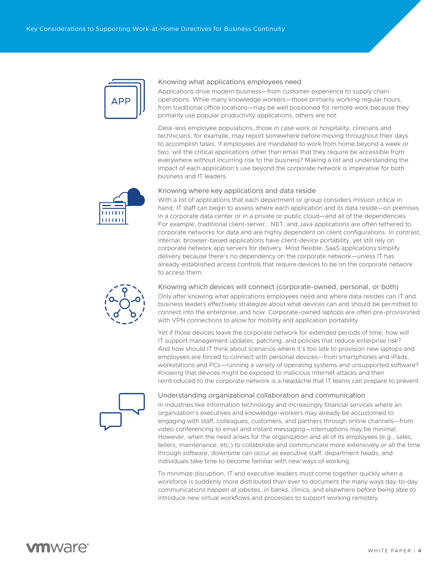

### <span id="page-3-0"></span>Knowing what applications employees need

Applications drive modern business—from customer experience to supply chain operations. While many knowledge workers—those primarily working regular hours, from traditional office locations—may be well positioned for remote work because they primarily use popular productivity applications, others are not.

Desk-less employee populations, those in case work or hospitality, clinicians and technicians, for example, may report somewhere before moving throughout their days to accomplish tasks. If employees are mandated to work from home beyond a week or two, will the critical applications other than email that they require be accessible from everywhere without incurring risk to the business? Making a list and understanding the impact of each application's use beyond the corporate network is imperative for both business and IT leaders.



### <span id="page-3-1"></span>Knowing where key applications and data reside

With a list of applications that each department or group considers mission critical in hand, IT staff can begin to assess where each application and its data reside—on premises in a corporate data center or in a private or public cloud—and all of the dependencies. For example, traditional client-server, .NET, and Java applications are often tethered to corporate networks for data and are highly dependent on client configurations. In contrast, internal, browser-based applications have client-device portability, yet still rely on corporate network app servers for delivery. Most flexible, SaaS applications simplify delivery because there's no dependency on the corporate network—unless IT has already-established access controls that require devices to be on the corporate network to access them.



<span id="page-3-2"></span>Knowing which devices will connect (corporate-owned, personal, or both) Only after knowing what applications employees need and where data resides can IT and

business leaders effectively strategize about what devices can and should be permitted to connect into the enterprise, and how. Corporate-owned laptops are often pre-provisioned with VPN connections to allow for mobility and application portability.

Yet if those devices leave the corporate network for extended periods of time, how will IT support management updates, patching, and policies that reduce enterprise risk? And how should IT think about scenarios where it's too late to provision new laptops and employees are forced to connect with personal devices—from smartphones and iPads, workstations and PCs—running a variety of operating systems and unsupported software? Knowing that devices might be exposed to malicious Internet attacks and then reintroduced to the corporate network is a headache that IT teams can prepare to prevent.



#### <span id="page-3-3"></span>Understanding organizational collaboration and communication

In industries like information technology and increasingly financial services where an organization's executives and knowledge-workers may already be accustomed to engaging with staff, colleagues, customers, and partners through online channels—from video conferencing to email and instant messaging—interruptions may be minimal. However, when the need arises for the organization and all of its employees (e.g., sales, tellers, maintenance, etc.) to collaborate and communicate more extensively or all the time through software, downtime can occur as executive staff, department heads, and individuals take time to become familiar with new ways of working.

To minimize disruption, IT and executive leaders must come together quickly when a workforce is suddenly more distributed than ever to document the many ways day-to-day communications happen at jobsites, in banks, clinics, and elsewhere before being able to introduce new virtual workflows and processes to support working remotely.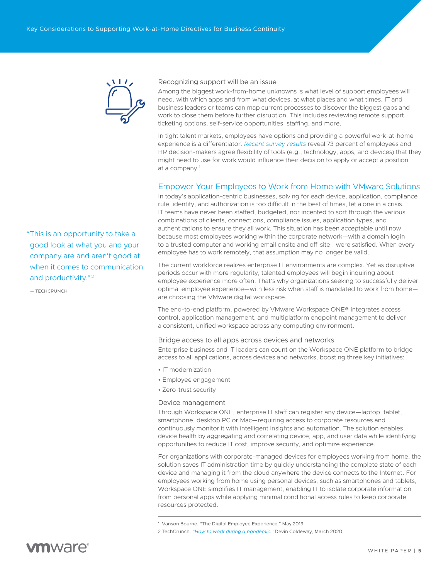

#### <span id="page-4-0"></span>Recognizing support will be an issue

Among the biggest work-from-home unknowns is what level of support employees will need, with which apps and from what devices, at what places and what times. IT and business leaders or teams can map current processes to discover the biggest gaps and work to close them before further disruption. This includes reviewing remote support ticketing options, self-service opportunities, staffing, and more.

In tight talent markets, employees have options and providing a powerful work-at-home experience is a differentiator. *[Recent survey results](https://www.vmware.com/radius/digital-employee-experience-infographic/)* reveal 73 percent of employees and HR decision-makers agree flexibility of tools (e.g., technology, apps, and devices) that they might need to use for work would influence their decision to apply or accept a position at a company.1

### <span id="page-4-1"></span>Empower Your Employees to Work from Home with VMware Solutions

In today's application-centric businesses, solving for each device, application, compliance rule, identity, and authorization is too difficult in the best of times, let alone in a crisis. IT teams have never been staffed, budgeted, nor incented to sort through the various combinations of clients, connections, compliance issues, application types, and authentications to ensure they all work. This situation has been acceptable until now because most employees working within the corporate network—with a domain login to a trusted computer and working email onsite and off-site—were satisfied. When every employee has to work remotely, that assumption may no longer be valid.

The current workforce realizes enterprise IT environments are complex. Yet as disruptive periods occur with more regularity, talented employees will begin inquiring about employee experience more often. That's why organizations seeking to successfully deliver optimal employee experience—with less risk when staff is mandated to work from home are choosing the VMware digital workspace.

The end-to-end platform, powered by VMware Workspace ONE® integrates access control, application management, and multiplatform endpoint management to deliver a consistent, unified workspace across any computing environment.

#### <span id="page-4-2"></span>Bridge access to all apps across devices and networks

Enterprise business and IT leaders can count on the Workspace ONE platform to bridge access to all applications, across devices and networks, boosting three key initiatives:

- IT modernization
- Employee engagement
- Zero-trust security

#### <span id="page-4-3"></span>Device management

Through Workspace ONE, enterprise IT staff can register any device—laptop, tablet, smartphone, desktop PC or Mac—requiring access to corporate resources and continuously monitor it with intelligent insights and automation. The solution enables device health by aggregating and correlating device, app, and user data while identifying opportunities to reduce IT cost, improve security, and optimize experience.

For organizations with corporate-managed devices for employees working from home, the solution saves IT administration time by quickly understanding the complete state of each device and managing it from the cloud anywhere the device connects to the Internet. For employees working from home using personal devices, such as smartphones and tablets, Workspace ONE simplifies IT management, enabling IT to isolate corporate information from personal apps while applying minimal conditional access rules to keep corporate resources protected.

"This is an opportunity to take a good look at what you and your company are and aren't good at when it comes to communication and productivity."<sup>2</sup>

— TECHCRUNCH

<sup>1</sup> Vanson Bourne. "The Digital Employee Experience." May 2019.

<sup>2</sup> TechCrunch. *["How to work during a pandemic."](https://techcrunch.com/2020/03/01/how-to-work-during-a-pandemic/)* Devin Coldeway, March 2020.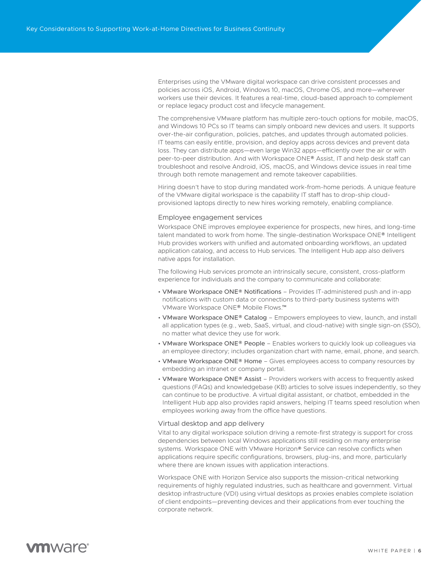Enterprises using the VMware digital workspace can drive consistent processes and policies across iOS, Android, Windows 10, macOS, Chrome OS, and more—wherever workers use their devices. It features a real-time, cloud-based approach to complement or replace legacy product cost and lifecycle management.

The comprehensive VMware platform has multiple zero-touch options for mobile, macOS, and Windows 10 PCs so IT teams can simply onboard new devices and users. It supports over-the-air configuration, policies, patches, and updates through automated policies. IT teams can easily entitle, provision, and deploy apps across devices and prevent data loss. They can distribute apps—even large Win32 apps—efficiently over the air or with peer-to-peer distribution. And with Workspace ONE® Assist, IT and help desk staff can troubleshoot and resolve Android, iOS, macOS, and Windows device issues in real time through both remote management and remote takeover capabilities.

Hiring doesn't have to stop during mandated work-from-home periods. A unique feature of the VMware digital workspace is the capability IT staff has to drop-ship cloudprovisioned laptops directly to new hires working remotely, enabling compliance.

#### <span id="page-5-0"></span>Employee engagement services

Workspace ONE improves employee experience for prospects, new hires, and long-time talent mandated to work from home. The single-destination Workspace ONE® Intelligent Hub provides workers with unified and automated onboarding workflows, an updated application catalog, and access to Hub services. The Intelligent Hub app also delivers native apps for installation.

The following Hub services promote an intrinsically secure, consistent, cross-platform experience for individuals and the company to communicate and collaborate:

- VMware Workspace ONE® Notifications Provides IT-administered push and in-app notifications with custom data or connections to third-party business systems with VMware Workspace ONE® Mobile Flows.™
- VMware Workspace ONE® Catalog Empowers employees to view, launch, and install all application types (e.g., web, SaaS, virtual, and cloud-native) with single sign-on (SSO), no matter what device they use for work.
- VMware Workspace ONE® People Enables workers to quickly look up colleagues via an employee directory; includes organization chart with name, email, phone, and search.
- VMware Workspace ONE® Home Gives employees access to company resources by embedding an intranet or company portal.
- VMware Workspace ONE® Assist Providers workers with access to frequently asked questions (FAQs) and knowledgebase (KB) articles to solve issues independently, so they can continue to be productive. A virtual digital assistant, or chatbot, embedded in the Intelligent Hub app also provides rapid answers, helping IT teams speed resolution when employees working away from the office have questions.

#### <span id="page-5-1"></span>Virtual desktop and app delivery

Vital to any digital workspace solution driving a remote-first strategy is support for cross dependencies between local Windows applications still residing on many enterprise systems. Workspace ONE with VMware Horizon® Service can resolve conflicts when applications require specific configurations, browsers, plug-ins, and more, particularly where there are known issues with application interactions.

Workspace ONE with Horizon Service also supports the mission-critical networking requirements of highly regulated industries, such as healthcare and government. Virtual desktop infrastructure (VDI) using virtual desktops as proxies enables complete isolation of client endpoints—preventing devices and their applications from ever touching the corporate network.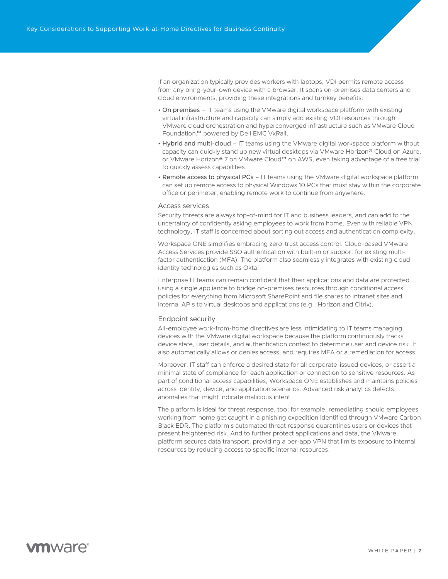If an organization typically provides workers with laptops, VDI permits remote access from any bring-your-own device with a browser. It spans on-premises data centers and cloud environments, providing these integrations and turnkey benefits:

- On premises IT teams using the VMware digital workspace platform with existing virtual infrastructure and capacity can simply add existing VDI resources through VMware cloud orchestration and hyperconverged infrastructure such as VMware Cloud Foundation,™ powered by Dell EMC VxRail.
- Hybrid and multi-cloud IT teams using the VMware digital workspace platform without capacity can quickly stand up new virtual desktops via VMware Horizon® Cloud on Azure, or VMware Horizon® 7 on VMware Cloud™ on AWS, even taking advantage of a free trial to quickly assess capabilities.
- Remote access to physical PCs IT teams using the VMware digital workspace platform can set up remote access to physical Windows 10 PCs that must stay within the corporate office or perimeter, enabling remote work to continue from anywhere.

#### <span id="page-6-0"></span>Access services

Security threats are always top-of-mind for IT and business leaders, and can add to the uncertainty of confidently asking employees to work from home. Even with reliable VPN technology, IT staff is concerned about sorting out access and authentication complexity.

Workspace ONE simplifies embracing zero-trust access control. Cloud-based VMware Access Services provide SSO authentication with built-in or support for existing multifactor authentication (MFA). The platform also seamlessly integrates with existing cloud identity technologies such as Okta.

Enterprise IT teams can remain confident that their applications and data are protected using a single appliance to bridge on-premises resources through conditional access policies for everything from Microsoft SharePoint and file shares to intranet sites and internal APIs to virtual desktops and applications (e.g., Horizon and Citrix).

#### <span id="page-6-1"></span>Endpoint security

All-employee work-from-home directives are less intimidating to IT teams managing devices with the VMware digital workspace because the platform continuously tracks device state, user details, and authentication context to determine user and device risk. It also automatically allows or denies access, and requires MFA or a remediation for access.

Moreover, IT staff can enforce a desired state for all corporate-issued devices, or assert a minimal state of compliance for each application or connection to sensitive resources. As part of conditional access capabilities, Workspace ONE establishes and maintains policies across identity, device, and application scenarios. Advanced risk analytics detects anomalies that might indicate malicious intent.

The platform is ideal for threat response, too; for example, remediating should employees working from home get caught in a phishing expedition identified through VMware Carbon Black EDR. The platform's automated threat response quarantines users or devices that present heightened risk. And to further protect applications and data, the VMware platform secures data transport, providing a per-app VPN that limits exposure to internal resources by reducing access to specific internal resources.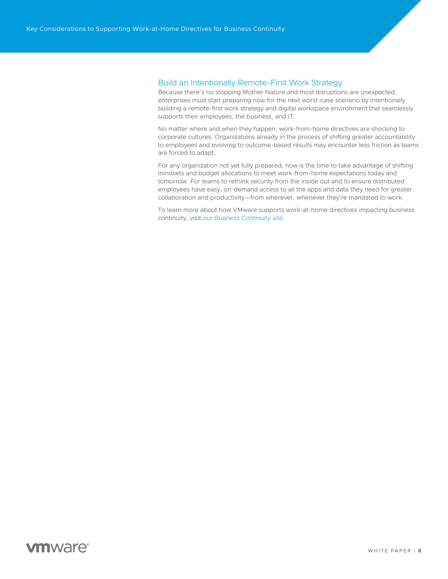### <span id="page-7-0"></span>Build an Intentionally Remote-First Work Strategy

Because there's no stopping Mother Nature and most disruptions are unexpected, enterprises must start preparing now for the next worst-case scenario by intentionally building a remote-first work strategy and digital workspace environment that seamlessly supports their employees, the business, and IT.

No matter where and when they happen, work-from-home directives are shocking to corporate cultures. Organizations already in the process of shifting greater accountability to employees and evolving to outcome-based results may encounter less friction as teams are forced to adapt.

For any organization not yet fully prepared, now is the time to take advantage of shifting mindsets and budget allocations to meet work-from-home expectations today and tomorrow. For teams to rethink security from the inside out and to ensure distributed employees have easy, on-demand access to all the apps and data they need for greater collaboration and productivity—from wherever, whenever they're mandated to work.

To learn more about how VMware supports work-at-home directives impacting business continuity, visit *[our Business Continuity site](https://www.vmware.com/it-priorities/empower-digital-workspace.html#continuity)*.